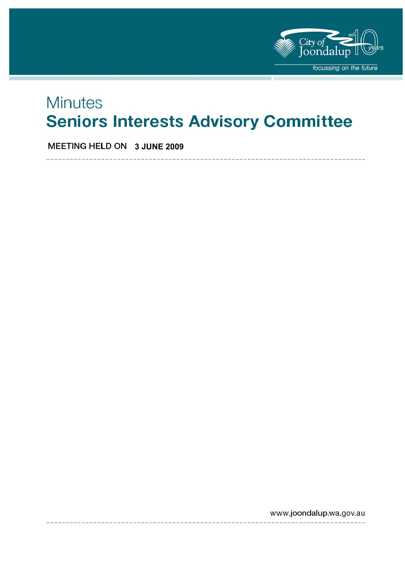

# **Minutes Seniors Interests Advisory Committee**

**MEETING HELD ON 3 JUNE 2009** 

www.joondalup.wa.gov.au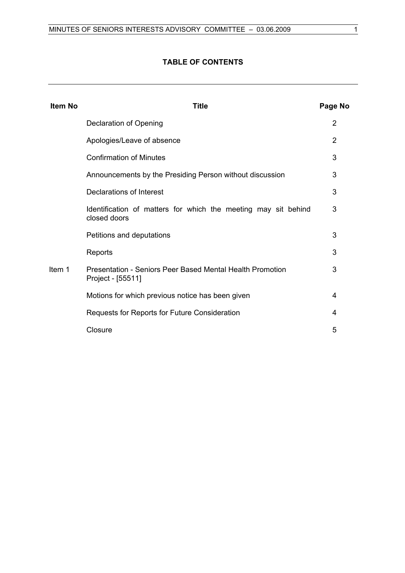### **TABLE OF CONTENTS**

| <b>Item No</b> | Title                                                                          | Page No |
|----------------|--------------------------------------------------------------------------------|---------|
|                | Declaration of Opening                                                         | 2       |
|                | Apologies/Leave of absence                                                     | 2       |
|                | <b>Confirmation of Minutes</b>                                                 | 3       |
|                | Announcements by the Presiding Person without discussion                       | 3       |
|                | Declarations of Interest                                                       | 3       |
|                | Identification of matters for which the meeting may sit behind<br>closed doors | 3       |
|                | Petitions and deputations                                                      | 3       |
|                | Reports                                                                        | 3       |
| Item 1         | Presentation - Seniors Peer Based Mental Health Promotion<br>Project - [55511] | 3       |
|                | Motions for which previous notice has been given                               | 4       |
|                | Requests for Reports for Future Consideration                                  | 4       |
|                | Closure                                                                        | 5       |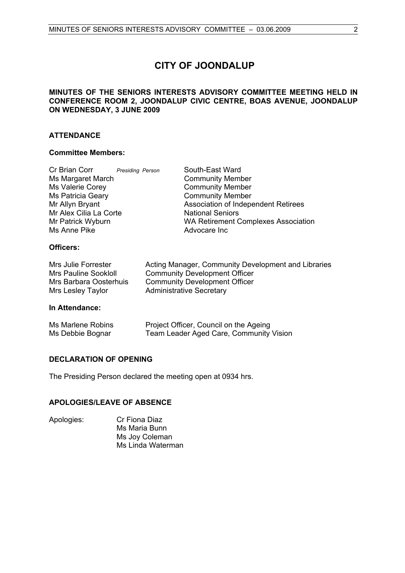# **CITY OF JOONDALUP**

#### **MINUTES OF THE SENIORS INTERESTS ADVISORY COMMITTEE MEETING HELD IN CONFERENCE ROOM 2, JOONDALUP CIVIC CENTRE, BOAS AVENUE, JOONDALUP ON WEDNESDAY, 3 JUNE 2009**

#### **ATTENDANCE**

#### **Committee Members:**

| Cr Brian Corr            | Presiding Person | South-East Ward                            |
|--------------------------|------------------|--------------------------------------------|
| Ms Margaret March        |                  | <b>Community Member</b>                    |
| Ms Valerie Corey         |                  | <b>Community Member</b>                    |
| <b>Ms Patricia Geary</b> |                  | <b>Community Member</b>                    |
| Mr Allyn Bryant          |                  | Association of Independent Retirees        |
| Mr Alex Cilia La Corte   |                  | <b>National Seniors</b>                    |
| Mr Patrick Wyburn        |                  | <b>WA Retirement Complexes Association</b> |
| Ms Anne Pike             |                  | Advocare Inc                               |
| Officers:                |                  |                                            |
|                          |                  |                                            |

| Mrs Julie Forrester         | Acting Manager, Community Development and Libraries |
|-----------------------------|-----------------------------------------------------|
| <b>Mrs Pauline Sookloll</b> | <b>Community Development Officer</b>                |
| Mrs Barbara Oosterhuis      | Community Development Officer                       |
| Mrs Lesley Taylor           | <b>Administrative Secretary</b>                     |

#### **In Attendance:**

| Ms Marlene Robins | Project Officer, Council on the Ageing  |
|-------------------|-----------------------------------------|
| Ms Debbie Bognar  | Team Leader Aged Care, Community Vision |

#### **DECLARATION OF OPENING**

The Presiding Person declared the meeting open at 0934 hrs.

#### **APOLOGIES/LEAVE OF ABSENCE**

Apologies: Cr Fiona Diaz Ms Maria Bunn Ms Joy Coleman Ms Linda Waterman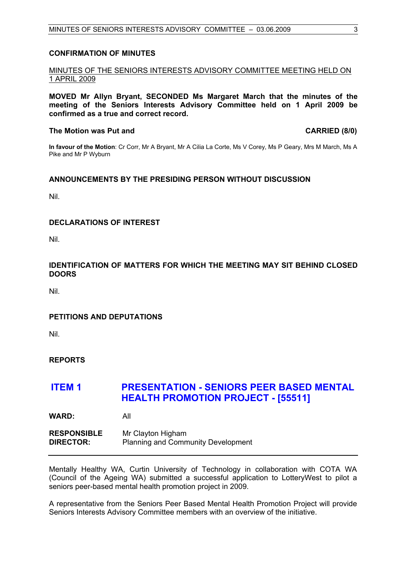#### **CONFIRMATION OF MINUTES**

### MINUTES OF THE SENIORS INTERESTS ADVISORY COMMITTEE MEETING HELD ON 1 APRIL 2009

**MOVED Mr Allyn Bryant, SECONDED Ms Margaret March that the minutes of the meeting of the Seniors Interests Advisory Committee held on 1 April 2009 be confirmed as a true and correct record.** 

#### The Motion was Put and **CARRIED** (8/0)

**In favour of the Motion**: Cr Corr, Mr A Bryant, Mr A Cilia La Corte, Ms V Corey, Ms P Geary, Mrs M March, Ms A Pike and Mr P Wyburn

#### **ANNOUNCEMENTS BY THE PRESIDING PERSON WITHOUT DISCUSSION**

Nil.

### **DECLARATIONS OF INTEREST**

Nil.

### **IDENTIFICATION OF MATTERS FOR WHICH THE MEETING MAY SIT BEHIND CLOSED DOORS**

Nil.

### **PETITIONS AND DEPUTATIONS**

Nil.

### **REPORTS**

## **ITEM 1 PRESENTATION - SENIORS PEER BASED MENTAL HEALTH PROMOTION PROJECT - [55511]**

**WARD:** All

**RESPONSIBLE** Mr Clayton Higham **DIRECTOR:** Planning and Community Development

Mentally Healthy WA, Curtin University of Technology in collaboration with COTA WA (Council of the Ageing WA) submitted a successful application to LotteryWest to pilot a seniors peer-based mental health promotion project in 2009.

A representative from the Seniors Peer Based Mental Health Promotion Project will provide Seniors Interests Advisory Committee members with an overview of the initiative.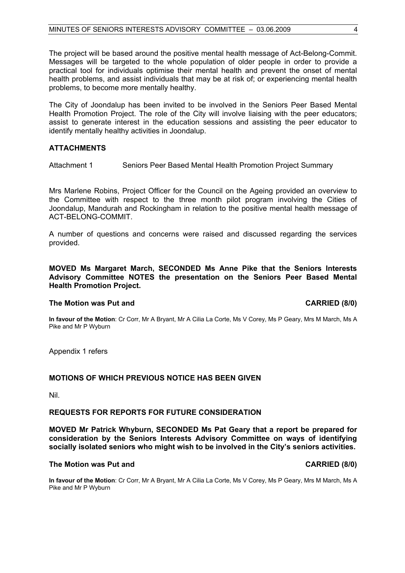The project will be based around the positive mental health message of Act-Belong-Commit. Messages will be targeted to the whole population of older people in order to provide a practical tool for individuals optimise their mental health and prevent the onset of mental health problems, and assist individuals that may be at risk of; or experiencing mental health problems, to become more mentally healthy.

The City of Joondalup has been invited to be involved in the Seniors Peer Based Mental Health Promotion Project. The role of the City will involve liaising with the peer educators; assist to generate interest in the education sessions and assisting the peer educator to identify mentally healthy activities in Joondalup.

#### **ATTACHMENTS**

Attachment 1 Seniors Peer Based Mental Health Promotion Project Summary

Mrs Marlene Robins, Project Officer for the Council on the Ageing provided an overview to the Committee with respect to the three month pilot program involving the Cities of Joondalup, Mandurah and Rockingham in relation to the positive mental health message of ACT-BELONG-COMMIT.

A number of questions and concerns were raised and discussed regarding the services provided.

#### **MOVED Ms Margaret March, SECONDED Ms Anne Pike that the Seniors Interests Advisory Committee NOTES the presentation on the Seniors Peer Based Mental Health Promotion Project.**

#### **The Motion was Put and CARRIED (8/0) CARRIED (8/0)**

**In favour of the Motion**: Cr Corr, Mr A Bryant, Mr A Cilia La Corte, Ms V Corey, Ms P Geary, Mrs M March, Ms A Pike and Mr P Wyburn

Appendix 1 refers

#### **MOTIONS OF WHICH PREVIOUS NOTICE HAS BEEN GIVEN**

Nil.

#### **REQUESTS FOR REPORTS FOR FUTURE CONSIDERATION**

**MOVED Mr Patrick Whyburn, SECONDED Ms Pat Geary that a report be prepared for consideration by the Seniors Interests Advisory Committee on ways of identifying socially isolated seniors who might wish to be involved in the City's seniors activities.** 

#### **The Motion was Put and CARRIED (8/0)**

**In favour of the Motion**: Cr Corr, Mr A Bryant, Mr A Cilia La Corte, Ms V Corey, Ms P Geary, Mrs M March, Ms A Pike and Mr P Wyburn